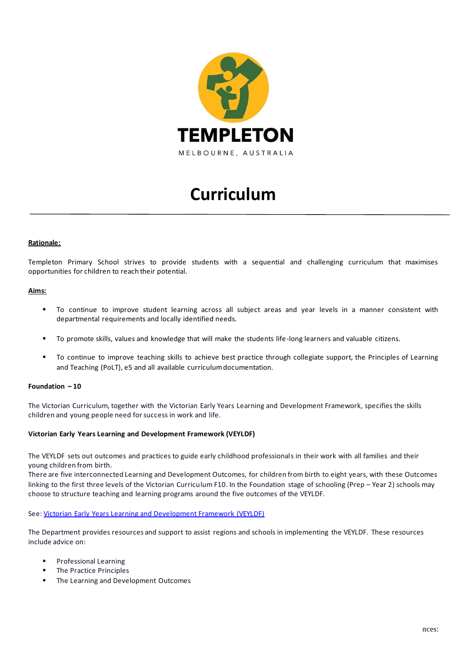

# **Curriculum**

## **Rationale:**

Templeton Primary School strives to provide students with a sequential and challenging curriculum that maximises opportunities for children to reach their potential.

# **Aims:**

- To continue to improve student learning across all subject areas and year levels in a manner consistent with departmental requirements and locally identified needs.
- To promote skills, values and knowledge that will make the students life-long learners and valuable citizens.
- To continue to improve teaching skills to achieve best practice through collegiate support, the Principles of Learning and Teaching (PoLT), e5 and all available curriculum documentation.

## **Foundation – 10**

The Victorian Curriculum, together with the Victorian Early Years Learning and Development Framework, specifies the skills children and young people need for success in work and life.

#### **Victorian Early Years Learning and Development Framework (VEYLDF)**

The VEYLDF sets out outcomes and practices to guide early childhood professionals in their work with all families and their young children from birth.

There are five interconnected Learning and Development Outcomes, for children from birth to eight years, with these Outcomes linking to the first three levels of the Victorian Curriculum F10. In the Foundation stage of schooling (Prep – Year 2) schools may choose to structure teaching and learning programs around the five outcomes of the VEYLDF.

See[: Victorian Early Years Learning and Development Framework \(VEYLDF\)](https://www.education.vic.gov.au/childhood/providers/edcare/Pages/expired/veyladf.aspx)

The Department provides resources and support to assist regions and schools in implementing the VEYLDF. These resources include advice on:

- **Professional Learning**
- The Practice Principles
- The Learning and Development Outcomes